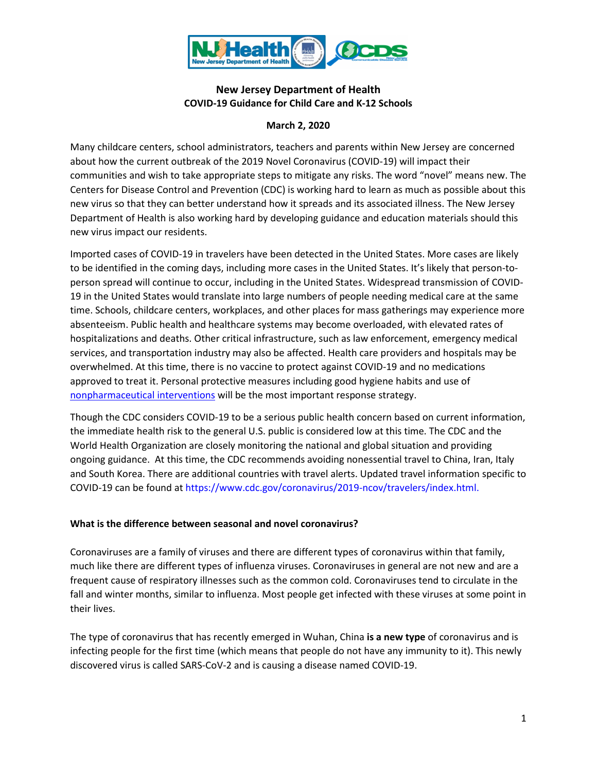

## **New Jersey Department of Health COVID-19 Guidance for Child Care and K-12 Schools**

### **March 2, 2020**

Many childcare centers, school administrators, teachers and parents within New Jersey are concerned about how the current outbreak of the 2019 Novel Coronavirus (COVID-19) will impact their communities and wish to take appropriate steps to mitigate any risks. The word "novel" means new. The Centers for Disease Control and Prevention (CDC) is working hard to learn as much as possible about this new virus so that they can better understand how it spreads and its associated illness. The New Jersey Department of Health is also working hard by developing guidance and education materials should this new virus impact our residents.

Imported cases of COVID-19 in travelers have been detected in the United States. More cases are likely to be identified in the coming days, including more cases in the United States. It's likely that person-toperson spread will continue to occur, including in the United States. Widespread transmission of COVID-19 in the United States would translate into large numbers of people needing medical care at the same time. Schools, childcare centers, workplaces, and other places for mass gatherings may experience more absenteeism. Public health and healthcare systems may become overloaded, with elevated rates of hospitalizations and deaths. Other critical infrastructure, such as law enforcement, emergency medical services, and transportation industry may also be affected. Health care providers and hospitals may be overwhelmed. At this time, there is no vaccine to protect against COVID-19 and no medications approved to treat it. Personal protective measures including good hygiene habits and use of [nonpharmaceutical interventions](https://www.cdc.gov/nonpharmaceutical-interventions/index.html) will be the most important response strategy.

Though the CDC considers COVID-19 to be a serious public health concern based on current information, the immediate health risk to the general U.S. public is considered low at this time. The CDC and the World Health Organization are closely monitoring the national and global situation and providing ongoing guidance. At this time, the CDC recommends avoiding nonessential travel to China, Iran, Italy and South Korea. There are additional countries with travel alerts. Updated travel information specific to COVID-19 can be found at [https://www.cdc.gov/coronavirus/2019-ncov/travelers/index.html.](https://www.cdc.gov/coronavirus/2019-ncov/travelers/index.html)

#### **What is the difference between seasonal and novel coronavirus?**

Coronaviruses are a family of viruses and there are different types of coronavirus within that family, much like there are different types of influenza viruses. Coronaviruses in general are not new and are a frequent cause of respiratory illnesses such as the common cold. Coronaviruses tend to circulate in the fall and winter months, similar to influenza. Most people get infected with these viruses at some point in their lives.

The type of coronavirus that has recently emerged in Wuhan, China **is a new type** of coronavirus and is infecting people for the first time (which means that people do not have any immunity to it). This newly discovered virus is called SARS-CoV-2 and is causing a disease named COVID-19.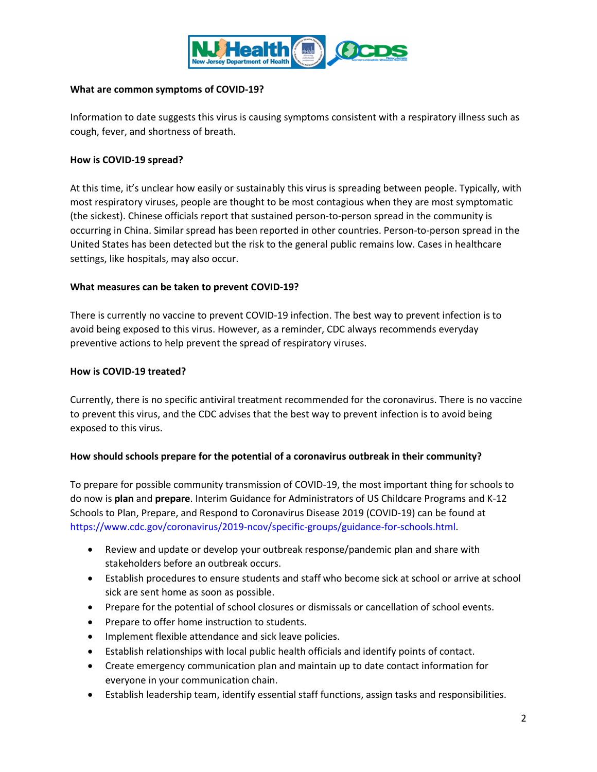

#### **What are common symptoms of COVID-19?**

Information to date suggests this virus is causing symptoms consistent with a respiratory illness such as cough, fever, and shortness of breath.

#### **How is COVID-19 spread?**

At this time, it's unclear how easily or sustainably this virus is spreading between people. Typically, with most respiratory viruses, people are thought to be most contagious when they are most symptomatic (the sickest). Chinese officials report that sustained person-to-person spread in the community is occurring in China. Similar spread has been reported in other countries. Person-to-person spread in the United States has been detected but the risk to the general public remains low. Cases in healthcare settings, like hospitals, may also occur.

#### **What measures can be taken to prevent COVID-19?**

There is currently no vaccine to prevent COVID-19 infection. The best way to prevent infection is to avoid being exposed to this virus. However, as a reminder, CDC always recommends everyday preventive actions to help prevent the spread of respiratory viruses.

#### **How is COVID-19 treated?**

Currently, there is no specific antiviral treatment recommended for the coronavirus. There is no vaccine to prevent this virus, and the CDC advises that the best way to prevent infection is to avoid being exposed to this virus.

#### **How should schools prepare for the potential of a coronavirus outbreak in their community?**

To prepare for possible community transmission of COVID-19, the most important thing for schools to do now is **plan** and **prepare**. Interim Guidance for Administrators of US Childcare Programs and K-12 Schools to Plan, Prepare, and Respond to Coronavirus Disease 2019 (COVID-19) can be found at [https://www.cdc.gov/coronavirus/2019-ncov/specific-groups/guidance-for-schools.html.](https://www.cdc.gov/coronavirus/2019-ncov/specific-groups/guidance-for-schools.html)

- Review and update or develop your outbreak response/pandemic plan and share with stakeholders before an outbreak occurs.
- Establish procedures to ensure students and staff who become sick at school or arrive at school sick are sent home as soon as possible.
- Prepare for the potential of school closures or dismissals or cancellation of school events.
- Prepare to offer home instruction to students.
- Implement flexible attendance and sick leave policies.
- Establish relationships with local public health officials and identify points of contact.
- Create emergency communication plan and maintain up to date contact information for everyone in your communication chain.
- Establish leadership team, identify essential staff functions, assign tasks and responsibilities.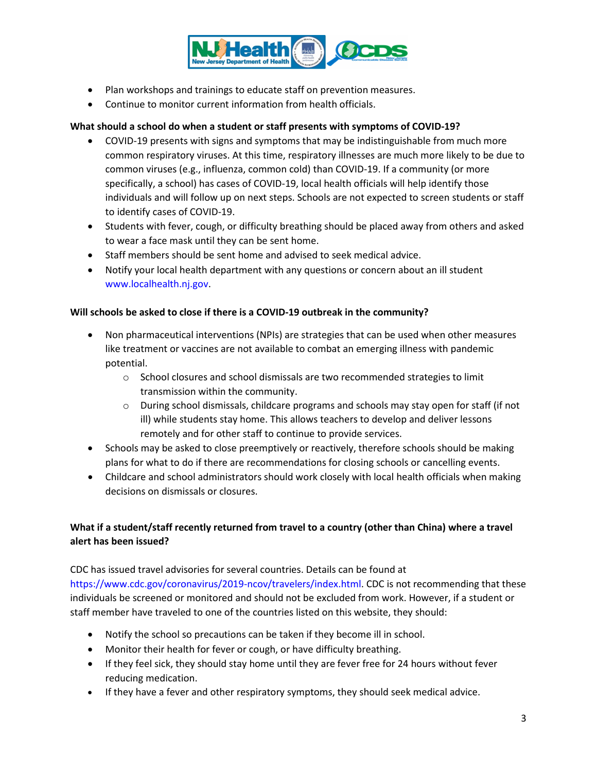

- Plan workshops and trainings to educate staff on prevention measures.
- Continue to monitor current information from health officials.

### **What should a school do when a student or staff presents with symptoms of COVID-19?**

- COVID-19 presents with signs and symptoms that may be indistinguishable from much more common respiratory viruses. At this time, respiratory illnesses are much more likely to be due to common viruses (e.g., influenza, common cold) than COVID-19. If a community (or more specifically, a school) has cases of COVID-19, local health officials will help identify those individuals and will follow up on next steps. Schools are not expected to screen students or staff to identify cases of COVID-19.
- Students with fever, cough, or difficulty breathing should be placed away from others and asked to wear a face mask until they can be sent home.
- Staff members should be sent home and advised to seek medical advice.
- Notify your local health department with any questions or concern about an ill student www.localhealth.nj.gov.

#### **Will schools be asked to close if there is a COVID-19 outbreak in the community?**

- Non pharmaceutical interventions (NPIs) are strategies that can be used when other measures like treatment or vaccines are not available to combat an emerging illness with pandemic potential.
	- $\circ$  School closures and school dismissals are two recommended strategies to limit transmission within the community.
	- $\circ$  During school dismissals, childcare programs and schools may stay open for staff (if not ill) while students stay home. This allows teachers to develop and deliver lessons remotely and for other staff to continue to provide services.
- Schools may be asked to close preemptively or reactively, therefore schools should be making plans for what to do if there are recommendations for closing schools or cancelling events.
- Childcare and school administrators should work closely with local health officials when making decisions on dismissals or closures.

## **What if a student/staff recently returned from travel to a country (other than China) where a travel alert has been issued?**

CDC has issued travel advisories for several countries. Details can be found at [https://www.cdc.gov/coronavirus/2019-ncov/travelers/index.html.](https://www.cdc.gov/coronavirus/2019-ncov/travelers/index.html) CDC is not recommending that these individuals be screened or monitored and should not be excluded from work. However, if a student or staff member have traveled to one of the countries listed on this website, they should:

- Notify the school so precautions can be taken if they become ill in school.
- Monitor their health for fever or cough, or have difficulty breathing.
- If they feel sick, they should stay home until they are fever free for 24 hours without fever reducing medication.
- If they have a fever and other respiratory symptoms, they should seek medical advice.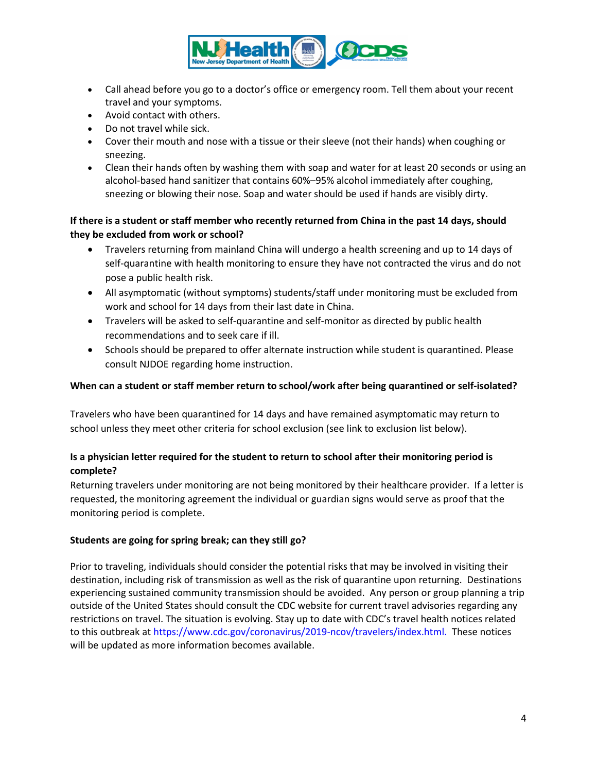

- Call ahead before you go to a doctor's office or emergency room. Tell them about your recent travel and your symptoms.
- Avoid contact with others.
- Do not travel while sick.
- Cover their mouth and nose with a tissue or their sleeve (not their hands) when coughing or sneezing.
- Clean their hands often by washing them with soap and water for at least 20 seconds or using an alcohol-based hand sanitizer that contains 60%–95% alcohol immediately after coughing, sneezing or blowing their nose. Soap and water should be used if hands are visibly dirty.

### **If there is a student or staff member who recently returned from China in the past 14 days, should they be excluded from work or school?**

- Travelers returning from mainland China will undergo a health screening and up to 14 days of self-quarantine with health monitoring to ensure they have not contracted the virus and do not pose a public health risk.
- All asymptomatic (without symptoms) students/staff under monitoring must be excluded from work and school for 14 days from their last date in China.
- Travelers will be asked to self-quarantine and self-monitor as directed by public health recommendations and to seek care if ill.
- Schools should be prepared to offer alternate instruction while student is quarantined. Please consult NJDOE regarding home instruction.

### **When can a student or staff member return to school/work after being quarantined or self-isolated?**

Travelers who have been quarantined for 14 days and have remained asymptomatic may return to school unless they meet other criteria for school exclusion (see link to exclusion list below).

## **Is a physician letter required for the student to return to school after their monitoring period is complete?**

Returning travelers under monitoring are not being monitored by their healthcare provider. If a letter is requested, the monitoring agreement the individual or guardian signs would serve as proof that the monitoring period is complete.

#### **Students are going for spring break; can they still go?**

Prior to traveling, individuals should consider the potential risks that may be involved in visiting their destination, including risk of transmission as well as the risk of quarantine upon returning. Destinations experiencing sustained community transmission should be avoided. Any person or group planning a trip outside of the United States should consult the CDC website for current travel advisories regarding any restrictions on travel. The situation is evolving. Stay up to date with CDC's travel health notices related to this outbreak at [https://www.cdc.gov/coronavirus/2019-ncov/travelers/index.html.](https://www.cdc.gov/coronavirus/2019-ncov/travelers/index.html) These notices will be updated as more information becomes available.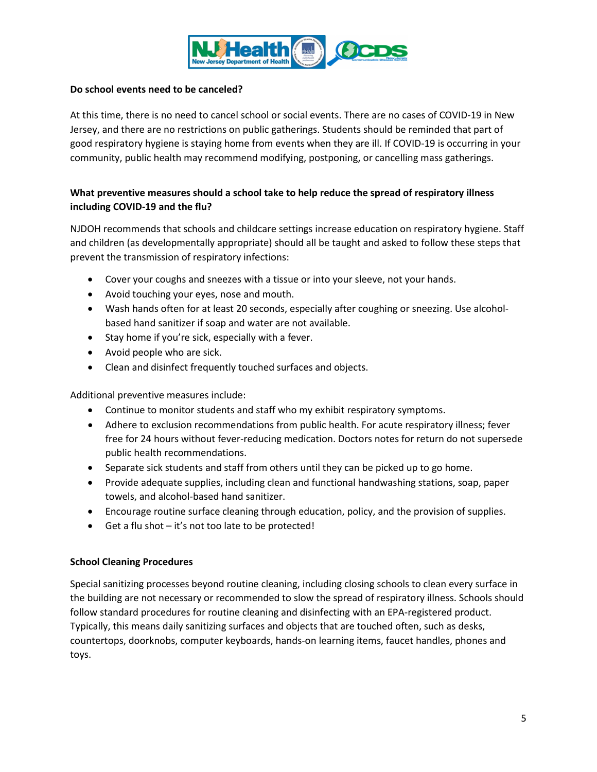

### **Do school events need to be canceled?**

At this time, there is no need to cancel school or social events. There are no cases of COVID-19 in New Jersey, and there are no restrictions on public gatherings. Students should be reminded that part of good respiratory hygiene is staying home from events when they are ill. If COVID-19 is occurring in your community, public health may recommend modifying, postponing, or cancelling mass gatherings.

# **What preventive measures should a school take to help reduce the spread of respiratory illness including COVID-19 and the flu?**

NJDOH recommends that schools and childcare settings increase education on respiratory hygiene. Staff and children (as developmentally appropriate) should all be taught and asked to follow these steps that prevent the transmission of respiratory infections:

- Cover your coughs and sneezes with a tissue or into your sleeve, not your hands.
- Avoid touching your eyes, nose and mouth.
- Wash hands often for at least 20 seconds, especially after coughing or sneezing. Use alcoholbased hand sanitizer if soap and water are not available.
- Stay home if you're sick, especially with a fever.
- Avoid people who are sick.
- Clean and disinfect frequently touched surfaces and objects.

Additional preventive measures include:

- Continue to monitor students and staff who my exhibit respiratory symptoms.
- Adhere to exclusion recommendations from public health. For acute respiratory illness; fever free for 24 hours without fever-reducing medication. Doctors notes for return do not supersede public health recommendations.
- Separate sick students and staff from others until they can be picked up to go home.
- Provide adequate supplies, including clean and functional handwashing stations, soap, paper towels, and alcohol-based hand sanitizer.
- Encourage routine surface cleaning through education, policy, and the provision of supplies.
- Get a flu shot it's not too late to be protected!

#### **School Cleaning Procedures**

Special sanitizing processes beyond routine cleaning, including closing schools to clean every surface in the building are not necessary or recommended to slow the spread of respiratory illness. Schools should follow standard procedures for routine cleaning and disinfecting with an EPA-registered product. Typically, this means daily sanitizing surfaces and objects that are touched often, such as desks, countertops, doorknobs, computer keyboards, hands-on learning items, faucet handles, phones and toys.